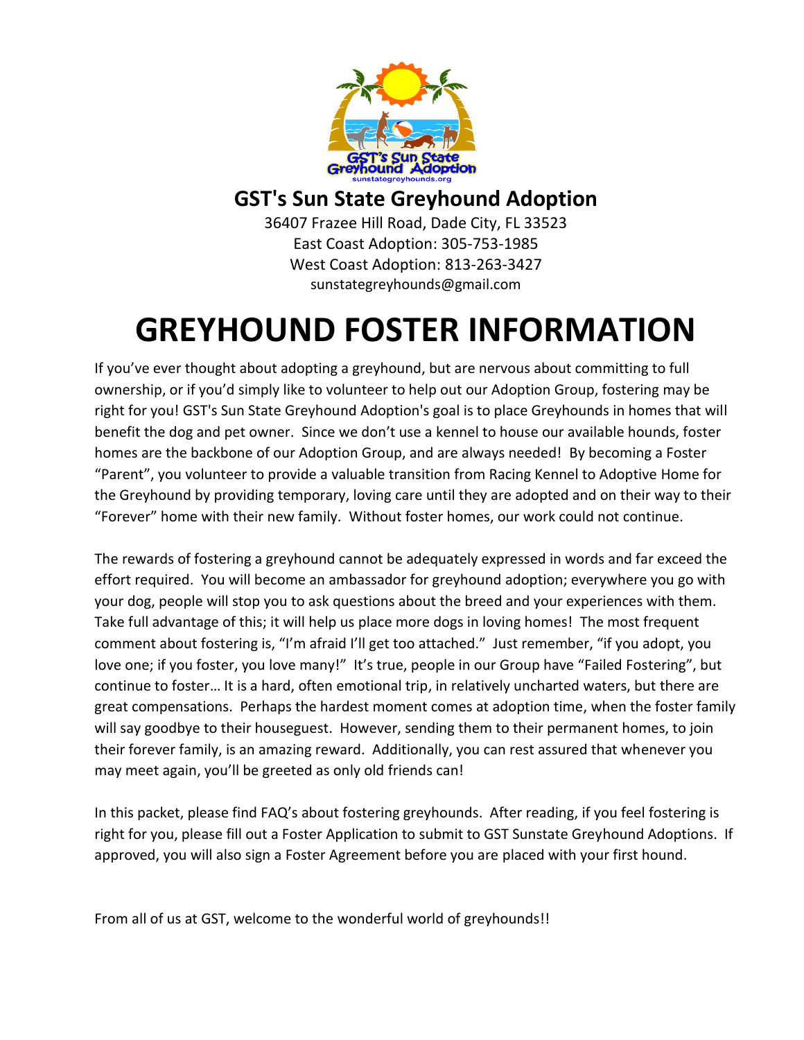

### **GST's Sun State Greyhound Adoption**

36407 Frazee Hill Road, Dade City, FL 33523 East Coast Adoption: 305-753-1985 West Coast Adoption: 813-263-3427 sunstategreyhounds@gmail.com

## **GREYHOUND FOSTER INFORMATION**

If you've ever thought about adopting a greyhound, but are nervous about committing to full ownership, or if you'd simply like to volunteer to help out our Adoption Group, fostering may be right for you! GST's Sun State Greyhound Adoption's goal is to place Greyhounds in homes that will benefit the dog and pet owner. Since we don't use a kennel to house our available hounds, foster homes are the backbone of our Adoption Group, and are always needed! By becoming a Foster "Parent", you volunteer to provide a valuable transition from Racing Kennel to Adoptive Home for the Greyhound by providing temporary, loving care until they are adopted and on their way to their "Forever" home with their new family. Without foster homes, our work could not continue.

The rewards of fostering a greyhound cannot be adequately expressed in words and far exceed the effort required. You will become an ambassador for greyhound adoption; everywhere you go with your dog, people will stop you to ask questions about the breed and your experiences with them. Take full advantage of this; it will help us place more dogs in loving homes! The most frequent comment about fostering is, "I'm afraid I'll get too attached." Just remember, "if you adopt, you love one; if you foster, you love many!" It's true, people in our Group have "Failed Fostering", but continue to foster… It is a hard, often emotional trip, in relatively uncharted waters, but there are great compensations. Perhaps the hardest moment comes at adoption time, when the foster family will say goodbye to their houseguest. However, sending them to their permanent homes, to join their forever family, is an amazing reward. Additionally, you can rest assured that whenever you may meet again, you'll be greeted as only old friends can!

In this packet, please find FAQ's about fostering greyhounds. After reading, if you feel fostering is right for you, please fill out a Foster Application to submit to GST Sunstate Greyhound Adoptions. If approved, you will also sign a Foster Agreement before you are placed with your first hound.

From all of us at GST, welcome to the wonderful world of greyhounds!!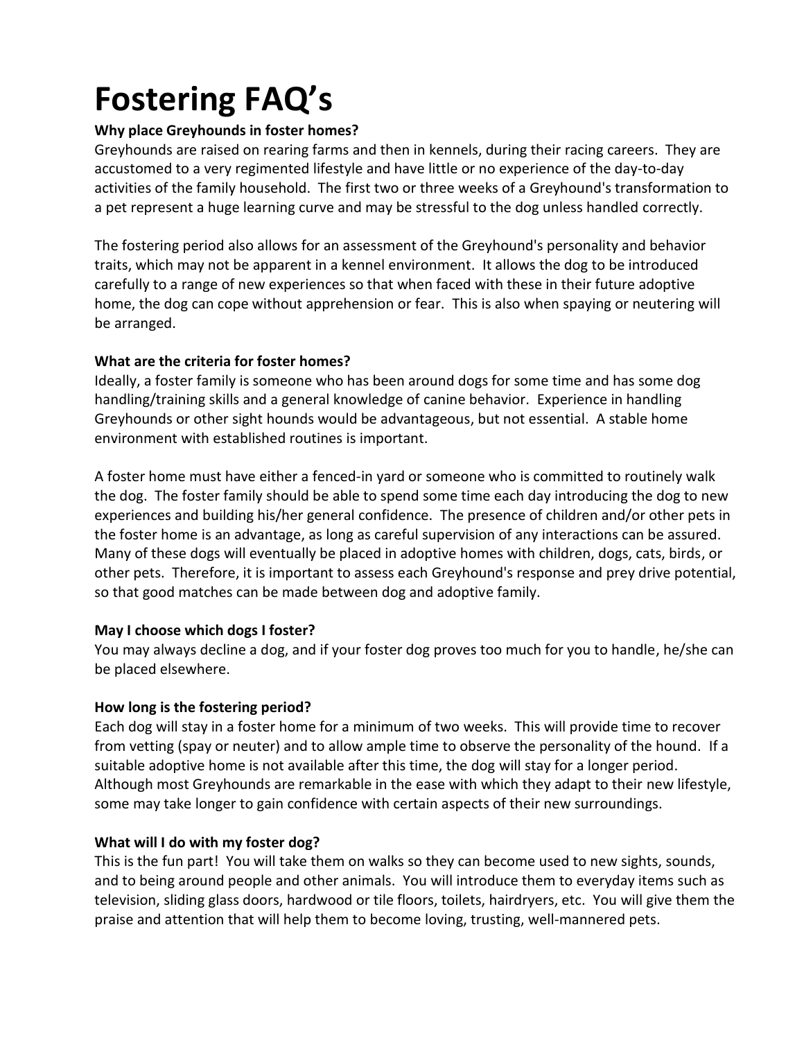# **Fostering FAQ's**

#### **Why place Greyhounds in foster homes?**

Greyhounds are raised on rearing farms and then in kennels, during their racing careers. They are accustomed to a very regimented lifestyle and have little or no experience of the day-to-day activities of the family household. The first two or three weeks of a Greyhound's transformation to a pet represent a huge learning curve and may be stressful to the dog unless handled correctly.

The fostering period also allows for an assessment of the Greyhound's personality and behavior traits, which may not be apparent in a kennel environment. It allows the dog to be introduced carefully to a range of new experiences so that when faced with these in their future adoptive home, the dog can cope without apprehension or fear. This is also when spaying or neutering will be arranged.

#### **What are the criteria for foster homes?**

Ideally, a foster family is someone who has been around dogs for some time and has some dog handling/training skills and a general knowledge of canine behavior. Experience in handling Greyhounds or other sight hounds would be advantageous, but not essential. A stable home environment with established routines is important.

A foster home must have either a fenced-in yard or someone who is committed to routinely walk the dog. The foster family should be able to spend some time each day introducing the dog to new experiences and building his/her general confidence. The presence of children and/or other pets in the foster home is an advantage, as long as careful supervision of any interactions can be assured. Many of these dogs will eventually be placed in adoptive homes with children, dogs, cats, birds, or other pets. Therefore, it is important to assess each Greyhound's response and prey drive potential, so that good matches can be made between dog and adoptive family.

#### **May I choose which dogs I foster?**

You may always decline a dog, and if your foster dog proves too much for you to handle, he/she can be placed elsewhere.

#### **How long is the fostering period?**

Each dog will stay in a foster home for a minimum of two weeks. This will provide time to recover from vetting (spay or neuter) and to allow ample time to observe the personality of the hound. If a suitable adoptive home is not available after this time, the dog will stay for a longer period. Although most Greyhounds are remarkable in the ease with which they adapt to their new lifestyle, some may take longer to gain confidence with certain aspects of their new surroundings.

#### **What will I do with my foster dog?**

This is the fun part! You will take them on walks so they can become used to new sights, sounds, and to being around people and other animals. You will introduce them to everyday items such as television, sliding glass doors, hardwood or tile floors, toilets, hairdryers, etc. You will give them the praise and attention that will help them to become loving, trusting, well-mannered pets.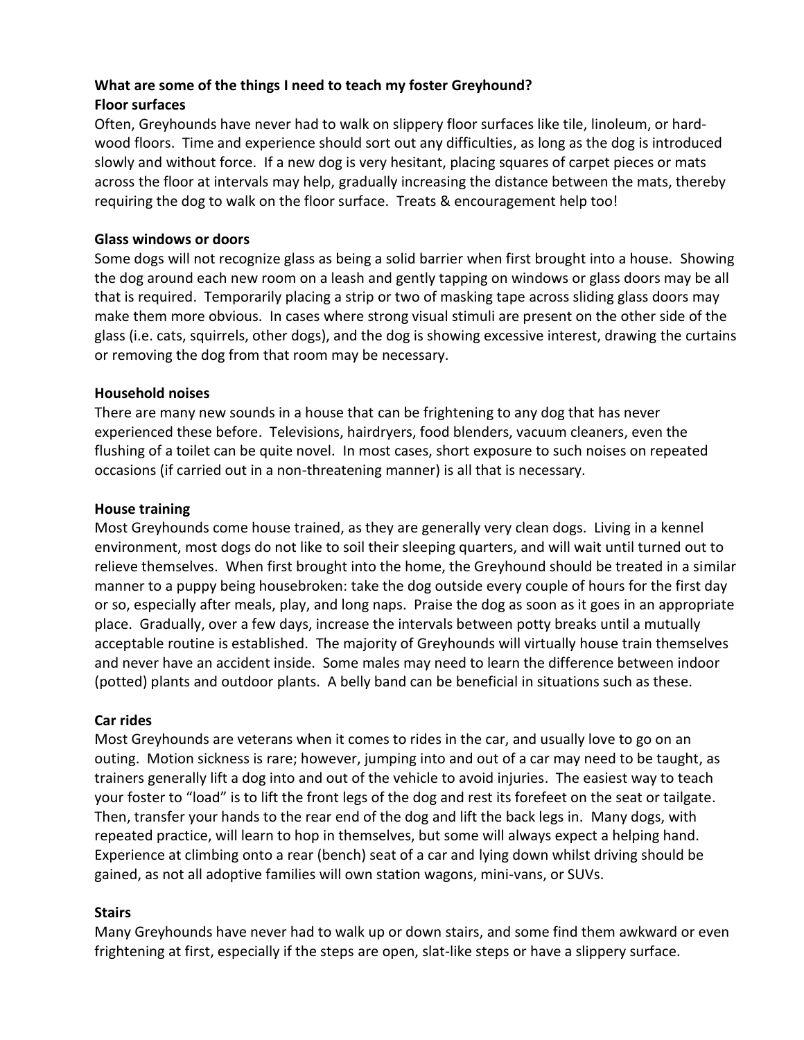#### **What are some of the things I need to teach my foster Greyhound? Floor surfaces**

Often, Greyhounds have never had to walk on slippery floor surfaces like tile, linoleum, or hardwood floors. Time and experience should sort out any difficulties, as long as the dog is introduced slowly and without force. If a new dog is very hesitant, placing squares of carpet pieces or mats across the floor at intervals may help, gradually increasing the distance between the mats, thereby requiring the dog to walk on the floor surface. Treats & encouragement help too!

#### **Glass windows or doors**

Some dogs will not recognize glass as being a solid barrier when first brought into a house. Showing the dog around each new room on a leash and gently tapping on windows or glass doors may be all that is required. Temporarily placing a strip or two of masking tape across sliding glass doors may make them more obvious. In cases where strong visual stimuli are present on the other side of the glass (i.e. cats, squirrels, other dogs), and the dog is showing excessive interest, drawing the curtains or removing the dog from that room may be necessary.

#### **Household noises**

There are many new sounds in a house that can be frightening to any dog that has never experienced these before. Televisions, hairdryers, food blenders, vacuum cleaners, even the flushing of a toilet can be quite novel. In most cases, short exposure to such noises on repeated occasions (if carried out in a non-threatening manner) is all that is necessary.

#### **House training**

Most Greyhounds come house trained, as they are generally very clean dogs. Living in a kennel environment, most dogs do not like to soil their sleeping quarters, and will wait until turned out to relieve themselves. When first brought into the home, the Greyhound should be treated in a similar manner to a puppy being housebroken: take the dog outside every couple of hours for the first day or so, especially after meals, play, and long naps. Praise the dog as soon as it goes in an appropriate place. Gradually, over a few days, increase the intervals between potty breaks until a mutually acceptable routine is established. The majority of Greyhounds will virtually house train themselves and never have an accident inside. Some males may need to learn the difference between indoor (potted) plants and outdoor plants. A belly band can be beneficial in situations such as these.

#### **Car rides**

Most Greyhounds are veterans when it comes to rides in the car, and usually love to go on an outing. Motion sickness is rare; however, jumping into and out of a car may need to be taught, as trainers generally lift a dog into and out of the vehicle to avoid injuries. The easiest way to teach your foster to "load" is to lift the front legs of the dog and rest its forefeet on the seat or tailgate. Then, transfer your hands to the rear end of the dog and lift the back legs in. Many dogs, with repeated practice, will learn to hop in themselves, but some will always expect a helping hand. Experience at climbing onto a rear (bench) seat of a car and lying down whilst driving should be gained, as not all adoptive families will own station wagons, mini-vans, or SUVs.

#### **Stairs**

Many Greyhounds have never had to walk up or down stairs, and some find them awkward or even frightening at first, especially if the steps are open, slat-like steps or have a slippery surface.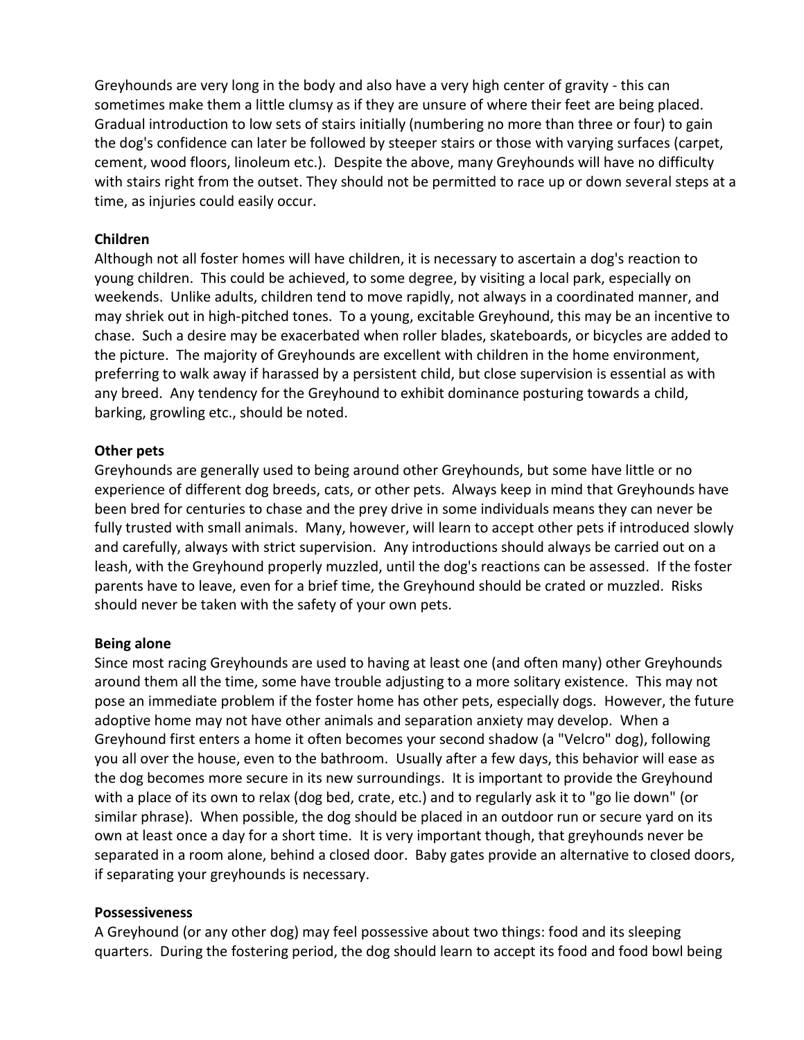Greyhounds are very long in the body and also have a very high center of gravity - this can sometimes make them a little clumsy as if they are unsure of where their feet are being placed. Gradual introduction to low sets of stairs initially (numbering no more than three or four) to gain the dog's confidence can later be followed by steeper stairs or those with varying surfaces (carpet, cement, wood floors, linoleum etc.). Despite the above, many Greyhounds will have no difficulty with stairs right from the outset. They should not be permitted to race up or down several steps at a time, as injuries could easily occur.

#### **Children**

Although not all foster homes will have children, it is necessary to ascertain a dog's reaction to young children. This could be achieved, to some degree, by visiting a local park, especially on weekends. Unlike adults, children tend to move rapidly, not always in a coordinated manner, and may shriek out in high-pitched tones. To a young, excitable Greyhound, this may be an incentive to chase. Such a desire may be exacerbated when roller blades, skateboards, or bicycles are added to the picture. The majority of Greyhounds are excellent with children in the home environment, preferring to walk away if harassed by a persistent child, but close supervision is essential as with any breed. Any tendency for the Greyhound to exhibit dominance posturing towards a child, barking, growling etc., should be noted.

#### **Other pets**

Greyhounds are generally used to being around other Greyhounds, but some have little or no experience of different dog breeds, cats, or other pets. Always keep in mind that Greyhounds have been bred for centuries to chase and the prey drive in some individuals means they can never be fully trusted with small animals. Many, however, will learn to accept other pets if introduced slowly and carefully, always with strict supervision. Any introductions should always be carried out on a leash, with the Greyhound properly muzzled, until the dog's reactions can be assessed. If the foster parents have to leave, even for a brief time, the Greyhound should be crated or muzzled. Risks should never be taken with the safety of your own pets.

#### **Being alone**

Since most racing Greyhounds are used to having at least one (and often many) other Greyhounds around them all the time, some have trouble adjusting to a more solitary existence. This may not pose an immediate problem if the foster home has other pets, especially dogs. However, the future adoptive home may not have other animals and separation anxiety may develop. When a Greyhound first enters a home it often becomes your second shadow (a "Velcro" dog), following you all over the house, even to the bathroom. Usually after a few days, this behavior will ease as the dog becomes more secure in its new surroundings. It is important to provide the Greyhound with a place of its own to relax (dog bed, crate, etc.) and to regularly ask it to "go lie down" (or similar phrase). When possible, the dog should be placed in an outdoor run or secure yard on its own at least once a day for a short time. It is very important though, that greyhounds never be separated in a room alone, behind a closed door. Baby gates provide an alternative to closed doors, if separating your greyhounds is necessary.

#### **Possessiveness**

A Greyhound (or any other dog) may feel possessive about two things: food and its sleeping quarters. During the fostering period, the dog should learn to accept its food and food bowl being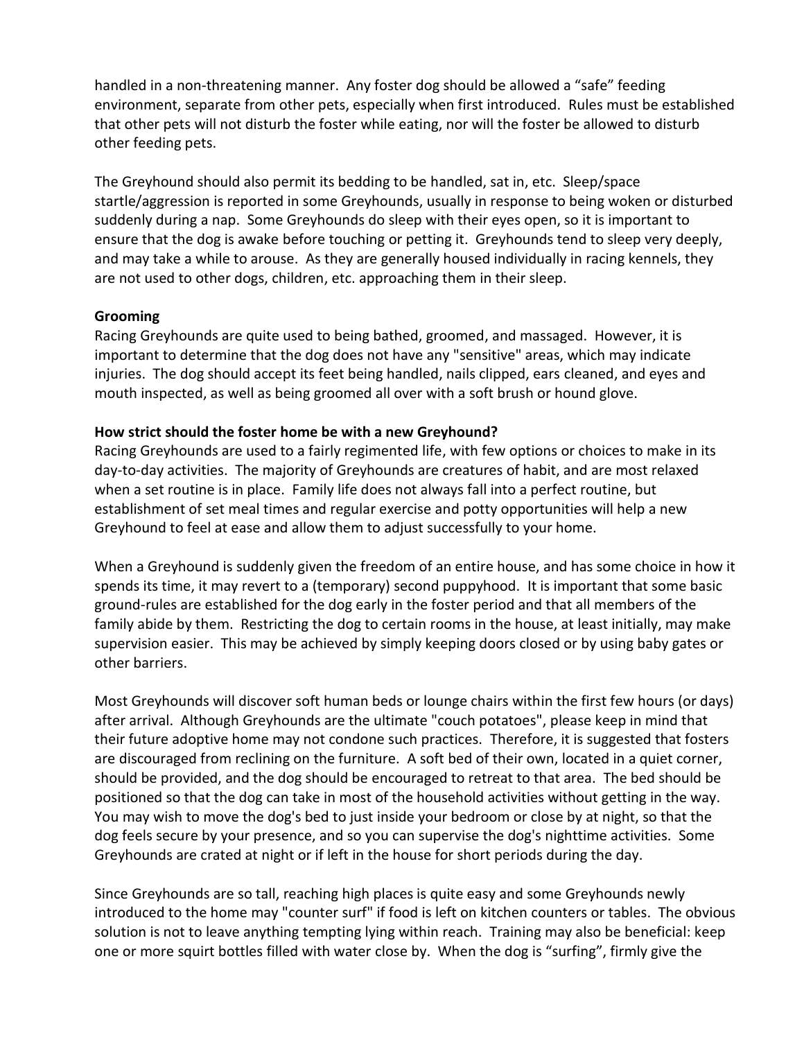handled in a non-threatening manner. Any foster dog should be allowed a "safe" feeding environment, separate from other pets, especially when first introduced. Rules must be established that other pets will not disturb the foster while eating, nor will the foster be allowed to disturb other feeding pets.

The Greyhound should also permit its bedding to be handled, sat in, etc. Sleep/space startle/aggression is reported in some Greyhounds, usually in response to being woken or disturbed suddenly during a nap. Some Greyhounds do sleep with their eyes open, so it is important to ensure that the dog is awake before touching or petting it. Greyhounds tend to sleep very deeply, and may take a while to arouse. As they are generally housed individually in racing kennels, they are not used to other dogs, children, etc. approaching them in their sleep.

#### **Grooming**

Racing Greyhounds are quite used to being bathed, groomed, and massaged. However, it is important to determine that the dog does not have any "sensitive" areas, which may indicate injuries. The dog should accept its feet being handled, nails clipped, ears cleaned, and eyes and mouth inspected, as well as being groomed all over with a soft brush or hound glove.

#### **How strict should the foster home be with a new Greyhound?**

Racing Greyhounds are used to a fairly regimented life, with few options or choices to make in its day-to-day activities. The majority of Greyhounds are creatures of habit, and are most relaxed when a set routine is in place. Family life does not always fall into a perfect routine, but establishment of set meal times and regular exercise and potty opportunities will help a new Greyhound to feel at ease and allow them to adjust successfully to your home.

When a Greyhound is suddenly given the freedom of an entire house, and has some choice in how it spends its time, it may revert to a (temporary) second puppyhood. It is important that some basic ground-rules are established for the dog early in the foster period and that all members of the family abide by them. Restricting the dog to certain rooms in the house, at least initially, may make supervision easier. This may be achieved by simply keeping doors closed or by using baby gates or other barriers.

Most Greyhounds will discover soft human beds or lounge chairs within the first few hours (or days) after arrival. Although Greyhounds are the ultimate "couch potatoes", please keep in mind that their future adoptive home may not condone such practices. Therefore, it is suggested that fosters are discouraged from reclining on the furniture. A soft bed of their own, located in a quiet corner, should be provided, and the dog should be encouraged to retreat to that area. The bed should be positioned so that the dog can take in most of the household activities without getting in the way. You may wish to move the dog's bed to just inside your bedroom or close by at night, so that the dog feels secure by your presence, and so you can supervise the dog's nighttime activities. Some Greyhounds are crated at night or if left in the house for short periods during the day.

Since Greyhounds are so tall, reaching high places is quite easy and some Greyhounds newly introduced to the home may "counter surf" if food is left on kitchen counters or tables. The obvious solution is not to leave anything tempting lying within reach. Training may also be beneficial: keep one or more squirt bottles filled with water close by. When the dog is "surfing", firmly give the